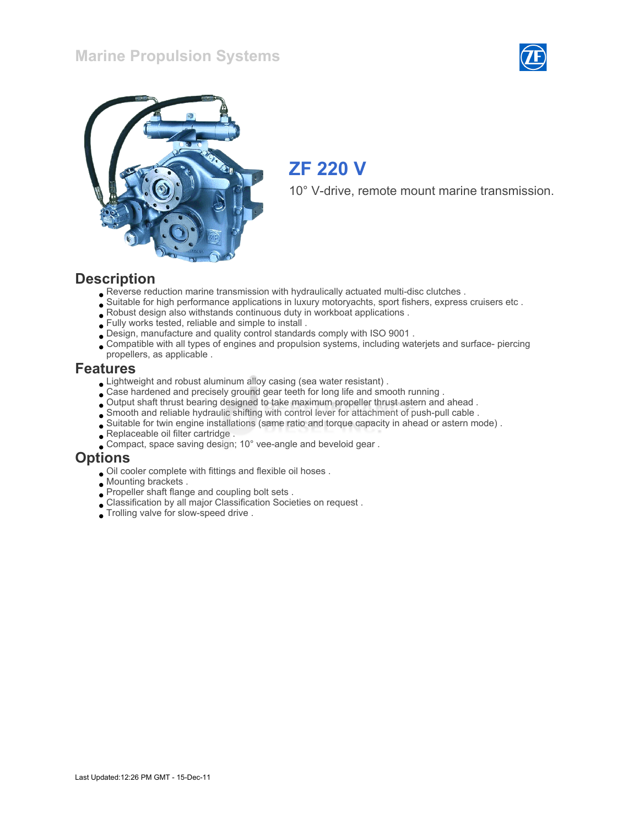#### Marine Propulsion Systems





### ZF 220 V

10° V-drive, remote mount marine transmission.

#### **Description**

- Reverse reduction marine transmission with hydraulically actuated multi-disc clutches .
- Suitable for high performance applications in luxury motoryachts, sport fishers, express cruisers etc .
- Robust design also withstands continuous duty in workboat applications .
- Fully works tested, reliable and simple to install .
- Design, manufacture and quality control standards comply with ISO 9001 .
- Compatible with all types of engines and propulsion systems, including waterjets and surface- piercing propellers, as applicable .

#### Features

- Lightweight and robust aluminum alloy casing (sea water resistant) .
- $\bullet$  Case hardened and precisely ground gear teeth for long life and smooth running .
- Output shaft thrust bearing designed to take maximum propeller thrust astern and ahead .
- Smooth and reliable hydraulic shifting with control lever for attachment of push-pull cable .
- Suitable for twin engine installations (same ratio and torque capacity in ahead or astern mode) .
- Replaceable oil filter cartridge .
- Compact, space saving design; 10° vee-angle and beveloid gear .

#### **Options**

- Oil cooler complete with fittings and flexible oil hoses .
- Mounting brackets .
- Propeller shaft flange and coupling bolt sets .
- Classification by all major Classification Societies on request .
- Trolling valve for slow-speed drive .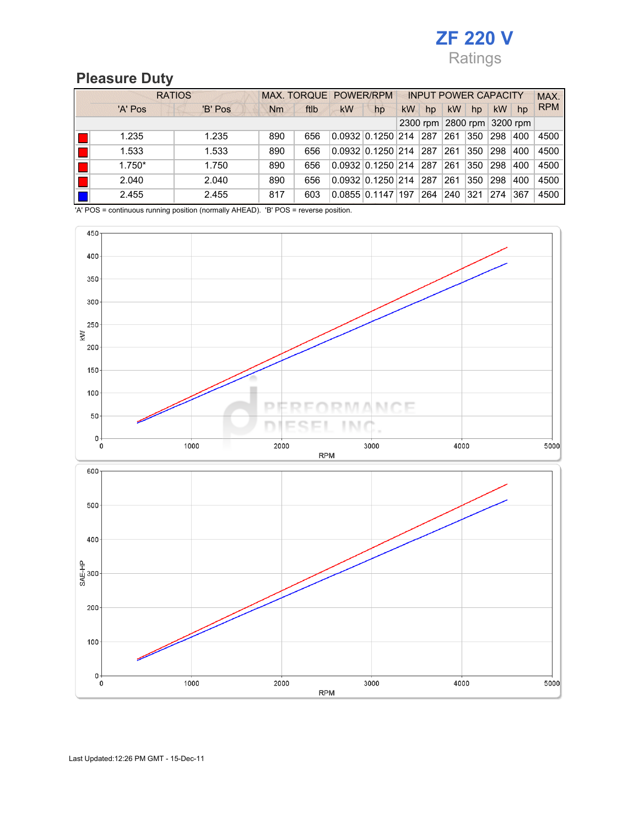### Pleasure Duty

| <b>RATIOS</b> |         | MAX. TORQUE POWER/RPM |      |                               |                               | <b>INPUT POWER CAPACITY</b> |          |           |                   |           | MAX. |            |
|---------------|---------|-----------------------|------|-------------------------------|-------------------------------|-----------------------------|----------|-----------|-------------------|-----------|------|------------|
| 'A' Pos       | 'B' Pos | <b>Nm</b>             | ftlb | <b>kW</b>                     | hp                            | <b>kW</b>                   | hp       | <b>kW</b> | hp                | <b>kW</b> | hp   | <b>RPM</b> |
|               |         |                       |      |                               |                               |                             | 2300 rpm |           | 2800 rpm 3200 rpm |           |      |            |
| 1.235         | 1.235   | 890                   | 656  |                               | $0.0932 \mid 0.1250 \mid 214$ |                             | 287      | 261       | 350               | 298       | 400  | 4500       |
| 1.533         | 1.533   | 890                   | 656  |                               | $0.0932 \mid 0.1250 \mid 214$ |                             | 287      | 261       | 350               | 298       | 400  | 4500       |
| $1.750*$      | 1.750   | 890                   | 656  | $0.0932 \mid 0.1250 \mid 214$ |                               |                             | 287      | 261       | 350               | 298       | 400  | 4500       |
| 2.040         | 2.040   | 890                   | 656  |                               | $0.0932 \mid 0.1250 \mid 214$ |                             | 287      | 261       | 350               | 298       | 400  | 4500       |
| 2.455         | 2.455   | 817                   | 603  |                               | $0.0855$ $0.1147$   197       |                             | 264      | 240       | 321               | 274       | 367  | 4500       |

'A' POS = continuous running position (normally AHEAD). 'B' POS = reverse position.

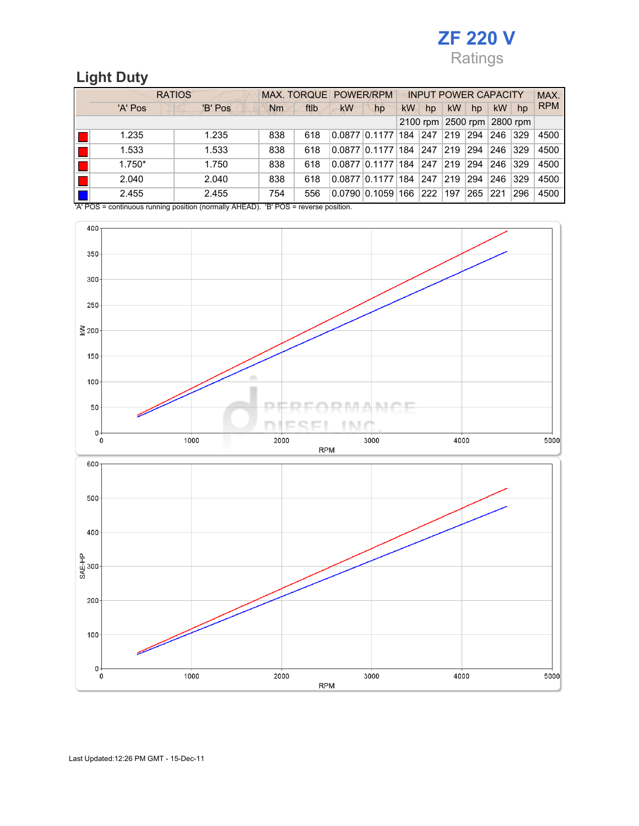#### Light Duty

| <b>RATIOS</b>                                                                                                                        |         |     | <b>MAX. TORQUE POWER/RPM</b> |           |                   |           | <b>INPUT POWER CAPACITY</b> |           |                            |           |     | MAX.       |
|--------------------------------------------------------------------------------------------------------------------------------------|---------|-----|------------------------------|-----------|-------------------|-----------|-----------------------------|-----------|----------------------------|-----------|-----|------------|
| 'A' Pos                                                                                                                              | 'B' Pos | Nm  | ftlb                         | <b>kW</b> | hp                | <b>kW</b> | hp                          | <b>kW</b> | hp                         | <b>kW</b> | hp  | <b>RPM</b> |
|                                                                                                                                      |         |     |                              |           |                   |           |                             |           | 2100 rpm 2500 rpm 2800 rpm |           |     |            |
| 1.235                                                                                                                                | 1.235   | 838 | 618                          |           | $0.0877$ $0.1177$ | 184       | 247                         | 219       | 294                        | 246       | 329 | 4500       |
| 1.533                                                                                                                                | 1.533   | 838 | 618                          |           | $0.0877$ $0.1177$ | 184       | 247                         | 219       | 294                        | 246       | 329 | 4500       |
| $1.750*$                                                                                                                             | 1.750   | 838 | 618                          |           | $0.0877$ $0.1177$ | 184       | 247                         | 219       | 294                        | 246       | 329 | 4500       |
| 2.040                                                                                                                                | 2.040   | 838 | 618                          |           | 0.087710.1177     | 184       | 247                         | 219       | 294                        | 246       | 329 | 4500       |
| 2.455                                                                                                                                | 2.455   | 754 | 556                          |           | $0.0790$ $0.1059$ | 166       | 222                         | 197       | 265                        | 221       | 296 | 4500       |
| $10.1 \text{ BOS}$ = continuous running position (permally $\Delta \text{HEAD}$ ) $\Delta \text{PE}$ $\text{BOS}$ = reverse position |         |     |                              |           |                   |           |                             |           |                            |           |     |            |

'A' POS = continuous running position (normally AHEAD). 'B' POS = reverse p

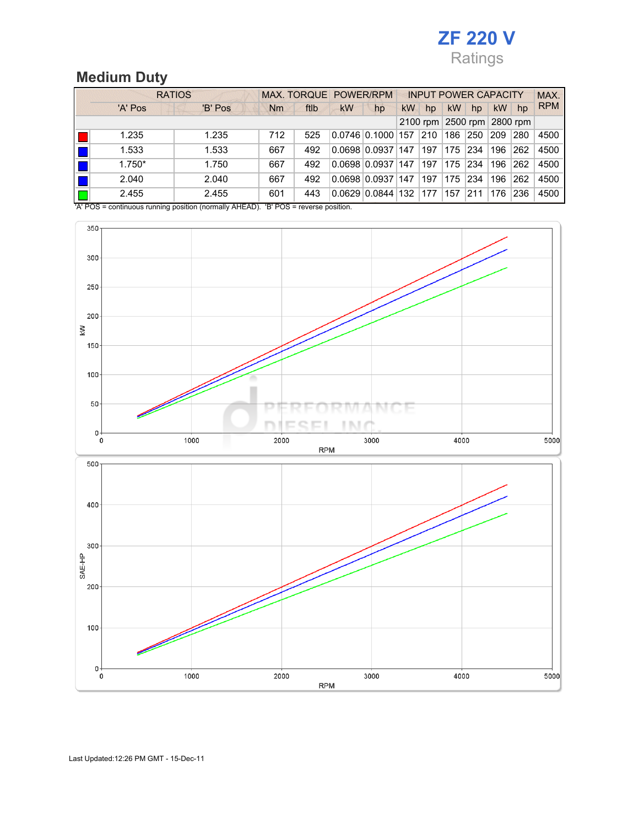# Medium Duty

| <b>RATIOS</b>                                                                                                                        |         |     | <b>MAX. TORQUE POWER/RPM</b> |           |                   |           | <b>INPUT POWER CAPACITY</b> |           |                            |           |     | MAX.       |
|--------------------------------------------------------------------------------------------------------------------------------------|---------|-----|------------------------------|-----------|-------------------|-----------|-----------------------------|-----------|----------------------------|-----------|-----|------------|
| 'A' Pos                                                                                                                              | 'B' Pos | Nm  | ftlb                         | <b>kW</b> | hp                | <b>kW</b> | hp                          | <b>kW</b> | hp                         | <b>kW</b> | hp  | <b>RPM</b> |
|                                                                                                                                      |         |     |                              |           |                   |           |                             |           | 2100 rpm 2500 rpm 2800 rpm |           |     |            |
| 1.235                                                                                                                                | 1.235   | 712 | 525                          |           | $0.0746$ $0.1000$ | 157       | 210                         | 186       | 250                        | 209       | 280 | 4500       |
| 1.533                                                                                                                                | 1.533   | 667 | 492                          |           | $0.0698$ $0.0937$ | 147       | 197                         | 175       | 234                        | 196       | 262 | 4500       |
| $1.750*$                                                                                                                             | 1.750   | 667 | 492                          |           | $0.0698$ $0.0937$ | 147       | 197                         | 175       | 234                        | 196       | 262 | 4500       |
| 2.040                                                                                                                                | 2.040   | 667 | 492                          |           | $0.0698$ $0.0937$ | 147       | 197                         | 175       | 234                        | 196       | 262 | 4500       |
| 2.455                                                                                                                                | 2.455   | 601 | 443                          |           | 0.0629   0.0844   | 132       | 177                         | 157       | 211                        | 176       | 236 | 4500       |
| $10.1 \text{ BOS}$ = continuous running position (permally $\Delta \text{HEAD}$ ) $\Delta \text{PE}$ $\text{BOS}$ = reverse position |         |     |                              |           |                   |           |                             |           |                            |           |     |            |

'A' POS = continuous running position (normally AHEAD). 'B' POS = reverse position.

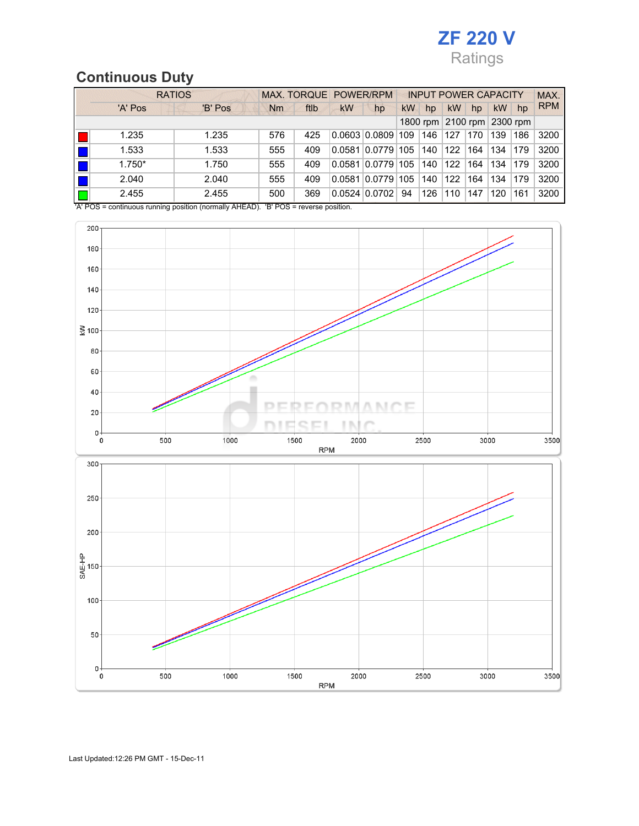#### Continuous Duty

| <b>RATIOS</b>                                                                                         | MAX. TORQUE POWER/RPM |     |      |           | <b>INPUT POWER CAPACITY</b> |           |     |           |                            | MAX.      |     |            |
|-------------------------------------------------------------------------------------------------------|-----------------------|-----|------|-----------|-----------------------------|-----------|-----|-----------|----------------------------|-----------|-----|------------|
| 'A' Pos                                                                                               | 'B' Pos               | Nm  | ftlb | <b>kW</b> | hp                          | <b>kW</b> | hp  | <b>kW</b> | hp                         | <b>kW</b> | hp  | <b>RPM</b> |
|                                                                                                       |                       |     |      |           |                             |           |     |           | 1800 rpm 2100 rpm 2300 rpm |           |     |            |
| 1.235                                                                                                 | 1.235                 | 576 | 425  |           | $0.0603 \, 0.0809$          | 109       | 146 | 127       | 170                        | 139       | 186 | 3200       |
| 1.533                                                                                                 | 1.533                 | 555 | 409  | 0.0581    | 0.0779                      | 105       | 140 | 122       | 164                        | 134       | 179 | 3200       |
| $1.750*$                                                                                              | 1.750                 | 555 | 409  | 0.0581    | 0.0779                      | 105       | 140 | 122       | 164                        | 134       | 179 | 3200       |
| 2.040                                                                                                 | 2.040                 | 555 | 409  | 0.0581    | 0.0779                      | 105       | 140 | 122       | 164                        | 134       | 179 | 3200       |
| 2.455                                                                                                 | 2.455                 | 500 | 369  |           | $0.0524$ $0.0702$           | 94        | 126 | 110       | 147                        | 120       | 161 | 3200       |
| $\mu$ DOS = continuous running position (pormally $\Delta H E \Delta D$ ). $P$ DOS = roverse position |                       |     |      |           |                             |           |     |           |                            |           |     |            |

on (normally AHEAD). 'B' POS = reverse position.

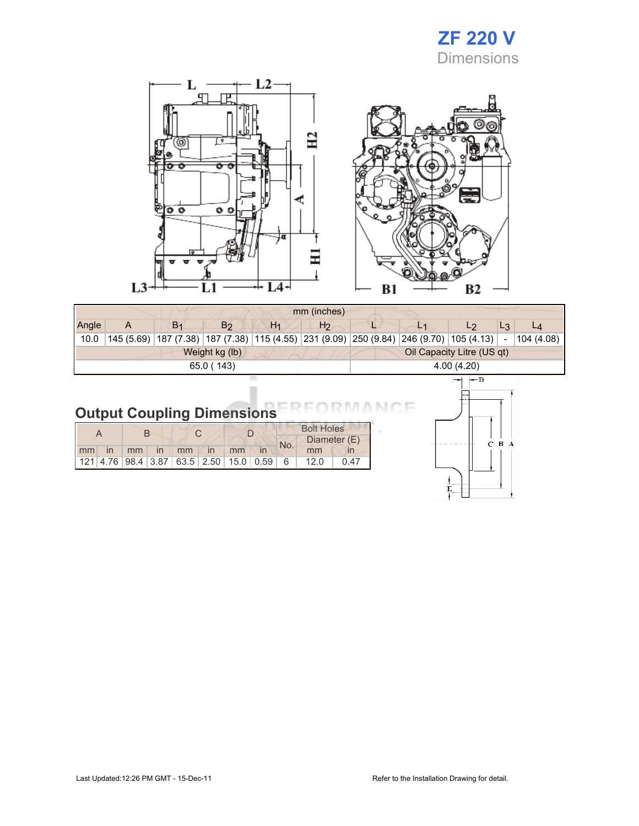### ZF 220 V **Dimensions**

 $\mathbf L$  $-L2$ œ,  $\Box$ 卫 ō  $\overline{\circ}$   $\overline{\circ}$  $\circ$ Ξ  $\frac{1}{2}$ L<sub>3</sub> L4-L1



|       | mm (inches) |                                                                                         |                |       |                |  |                |                            |        |           |  |
|-------|-------------|-----------------------------------------------------------------------------------------|----------------|-------|----------------|--|----------------|----------------------------|--------|-----------|--|
| Angle | A           | B <sub>1</sub>                                                                          | B <sub>2</sub> | $H_1$ | H <sub>2</sub> |  | L <sub>1</sub> | L <sub>2</sub>             | $L_3$  | L4        |  |
| 10.0  |             | 145 (5.69) 187 (7.38) 187 (7.38) 115 (4.55) 231 (9.09) 250 (9.84) 246 (9.70) 105 (4.13) |                |       |                |  |                |                            | $\sim$ | 104(4.08) |  |
|       |             |                                                                                         | Weight kg (lb) |       |                |  |                | Oil Capacity Litre (US qt) |        |           |  |
|       |             |                                                                                         | 65.0 (143)     |       |                |  |                | 4.00(4.20)                 |        |           |  |
|       | $\vdash$ D  |                                                                                         |                |       |                |  |                |                            |        |           |  |

# Output Coupling Dimensions FRFORMANCE

|  |  |  |  |  |                      |     | <b>Bolt Holes</b> |              |                                                                          |
|--|--|--|--|--|----------------------|-----|-------------------|--------------|--------------------------------------------------------------------------|
|  |  |  |  |  |                      | No. |                   | Diameter (E) |                                                                          |
|  |  |  |  |  | mm in mm in mm in mm |     |                   | mm           |                                                                          |
|  |  |  |  |  |                      |     |                   |              | $121   4.76   98.4   3.87   63.5   2.50   15.0   0.59   6   12.0   0.47$ |